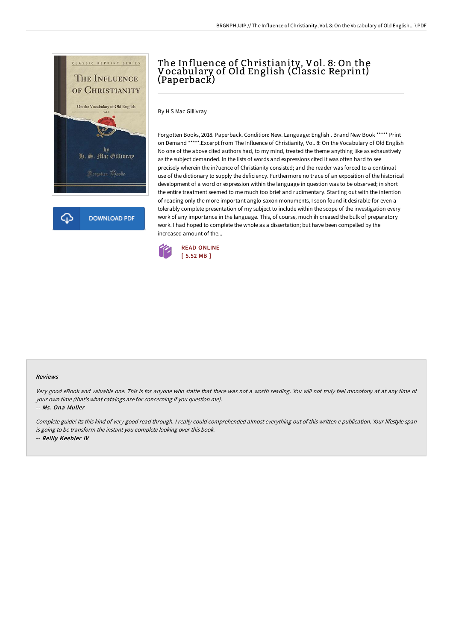

## The Influence of Christianity, Vol. 8: On the Vocabulary of Old English (Classic Reprint) (Paperback)

By H S Mac Gillivray

Forgotten Books, 2018. Paperback. Condition: New. Language: English . Brand New Book \*\*\*\*\* Print on Demand \*\*\*\*\*.Excerpt from The Influence of Christianity, Vol. 8: On the Vocabulary of Old English No one of the above cited authors had, to my mind, treated the theme anything like as exhaustively as the subject demanded. In the lists of words and expressions cited it was often hard to see precisely wherein the in?uence of Christianity consisted; and the reader was forced to a continual use of the dictionary to supply the deficiency. Furthermore no trace of an exposition of the historical development of a word or expression within the language in question was to be observed; in short the entire treatment seemed to me much too brief and rudimentary. Starting out with the intention of reading only the more important anglo-saxon monuments, I soon found it desirable for even a tolerably complete presentation of my subject to include within the scope of the investigation every work of any importance in the language. This, of course, much ih creased the bulk of preparatory work. I had hoped to complete the whole as a dissertation; but have been compelled by the increased amount of the...



## Reviews

Very good eBook and valuable one. This is for anyone who statte that there was not <sup>a</sup> worth reading. You will not truly feel monotony at at any time of your own time (that's what catalogs are for concerning if you question me).

-- Ms. Ona Muller

Complete guide! Its this kind of very good read through. <sup>I</sup> really could comprehended almost everything out of this written <sup>e</sup> publication. Your lifestyle span is going to be transform the instant you complete looking over this book. -- Reilly Keebler IV